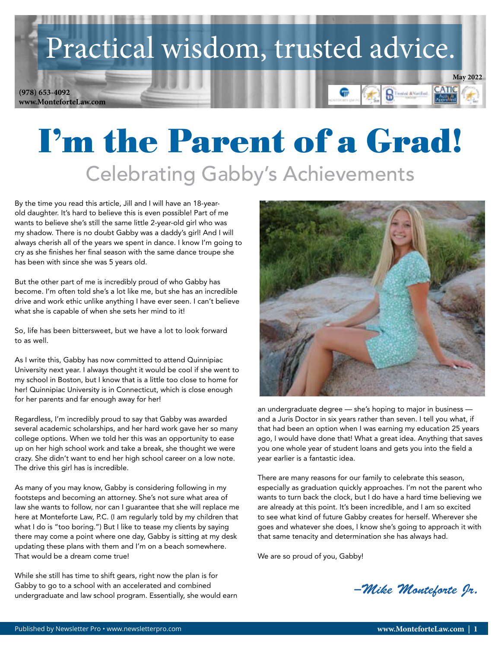## Practical wisdom, trusted advice.

**www.MonteforteLaw.com (978) 653-4092**



# I'm the Parent of a Grad! Celebrating Gabby's Achievements

By the time you read this article, Jill and I will have an 18-yearold daughter. It's hard to believe this is even possible! Part of me wants to believe she's still the same little 2-year-old girl who was my shadow. There is no doubt Gabby was a daddy's girl! And I will always cherish all of the years we spent in dance. I know I'm going to cry as she finishes her final season with the same dance troupe she has been with since she was 5 years old.

But the other part of me is incredibly proud of who Gabby has become. I'm often told she's a lot like me, but she has an incredible drive and work ethic unlike anything I have ever seen. I can't believe what she is capable of when she sets her mind to it!

So, life has been bittersweet, but we have a lot to look forward to as well.

As I write this, Gabby has now committed to attend Quinnipiac University next year. I always thought it would be cool if she went to my school in Boston, but I know that is a little too close to home for her! Quinnipiac University is in Connecticut, which is close enough for her parents and far enough away for her!

Regardless, I'm incredibly proud to say that Gabby was awarded several academic scholarships, and her hard work gave her so many college options. When we told her this was an opportunity to ease up on her high school work and take a break, she thought we were crazy. She didn't want to end her high school career on a low note. The drive this girl has is incredible.

As many of you may know, Gabby is considering following in my footsteps and becoming an attorney. She's not sure what area of law she wants to follow, nor can I guarantee that she will replace me here at Monteforte Law, P.C. (I am regularly told by my children that what I do is "too boring.") But I like to tease my clients by saying there may come a point where one day, Gabby is sitting at my desk updating these plans with them and I'm on a beach somewhere. That would be a dream come true!

While she still has time to shift gears, right now the plan is for Gabby to go to a school with an accelerated and combined undergraduate and law school program. Essentially, she would earn



an undergraduate degree — she's hoping to major in business and a Juris Doctor in six years rather than seven. I tell you what, if that had been an option when I was earning my education 25 years ago, I would have done that! What a great idea. Anything that saves you one whole year of student loans and gets you into the field a year earlier is a fantastic idea.

There are many reasons for our family to celebrate this season, especially as graduation quickly approaches. I'm not the parent who wants to turn back the clock, but I do have a hard time believing we are already at this point. It's been incredible, and I am so excited to see what kind of future Gabby creates for herself. Wherever she goes and whatever she does, I know she's going to approach it with that same tenacity and determination she has always had.

We are so proud of you, Gabby!

*–Mike Monteforte Jr.*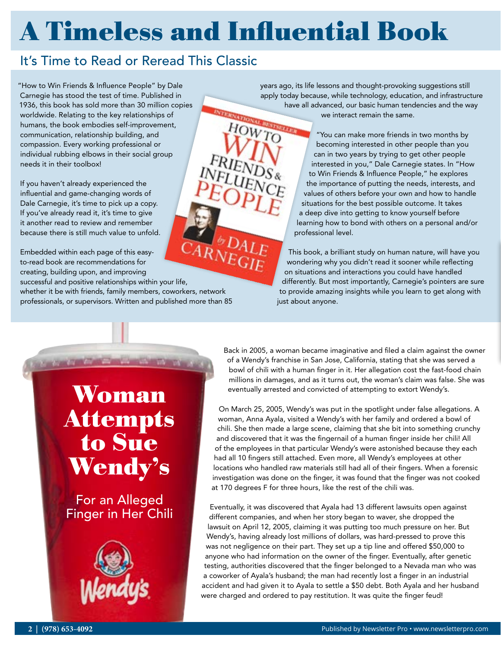## A Timeless and Influential Book

### It's Time to Read or Reread This Classic

"How to Win Friends & Influence People" by Dale Carnegie has stood the test of time. Published in 1936, this book has sold more than 30 million copies worldwide. Relating to the key relationships of humans, the book embodies self-improvement, communication, relationship building, and compassion. Every working professional or individual rubbing elbows in their social group needs it in their toolbox!

If you haven't already experienced the influential and game-changing words of Dale Carnegie, it's time to pick up a copy. If you've already read it, it's time to give it another read to review and remember because there is still much value to unfold.

Embedded within each page of this easyto-read book are recommendations for creating, building upon, and improving successful and positive relationships within your life, whether it be with friends, family members, coworkers, network professionals, or supervisors. Written and published more than 85

years ago, its life lessons and thought-provoking suggestions still apply today because, while technology, education, and infrastructure have all advanced, our basic human tendencies and the way we interact remain the same. HOWTO

"You can make more friends in two months by becoming interested in other people than you can in two years by trying to get other people interested in you," Dale Carnegie states. In "How to Win Friends & Influence People," he explores the importance of putting the needs, interests, and values of others before your own and how to handle situations for the best possible outcome. It takes a deep dive into getting to know yourself before learning how to bond with others on a personal and/or professional level.

This book, a brilliant study on human nature, will have you wondering why you didn't read it sooner while reflecting on situations and interactions you could have handled differently. But most importantly, Carnegie's pointers are sure to provide amazing insights while you learn to get along with just about anyone.

Woman Attempts to Sue Wendy's

For an Alleged Finger in Her Chili



Back in 2005, a woman became imaginative and filed a claim against the owner of a Wendy's franchise in San Jose, California, stating that she was served a bowl of chili with a human finger in it. Her allegation cost the fast-food chain millions in damages, and as it turns out, the woman's claim was false. She was eventually arrested and convicted of attempting to extort Wendy's.

On March 25, 2005, Wendy's was put in the spotlight under false allegations. A woman, Anna Ayala, visited a Wendy's with her family and ordered a bowl of chili. She then made a large scene, claiming that she bit into something crunchy and discovered that it was the fingernail of a human finger inside her chili! All of the employees in that particular Wendy's were astonished because they each had all 10 fingers still attached. Even more, all Wendy's employees at other locations who handled raw materials still had all of their fingers. When a forensic investigation was done on the finger, it was found that the finger was not cooked at 170 degrees F for three hours, like the rest of the chili was.

Eventually, it was discovered that Ayala had 13 different lawsuits open against different companies, and when her story began to waver, she dropped the lawsuit on April 12, 2005, claiming it was putting too much pressure on her. But Wendy's, having already lost millions of dollars, was hard-pressed to prove this was not negligence on their part. They set up a tip line and offered \$50,000 to anyone who had information on the owner of the finger. Eventually, after genetic testing, authorities discovered that the finger belonged to a Nevada man who was a coworker of Ayala's husband; the man had recently lost a finger in an industrial accident and had given it to Ayala to settle a \$50 debt. Both Ayala and her husband were charged and ordered to pay restitution. It was quite the finger feud!

*Sales Talk C*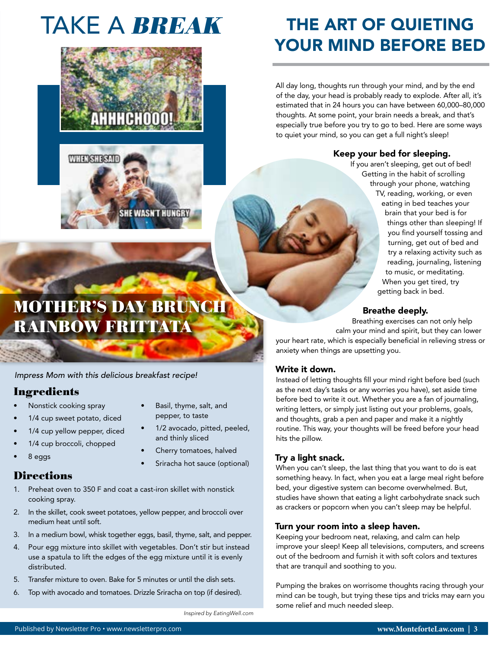## TAKE A BREAK





### THE ART OF QUIETING YOUR MIND BEFORE BED

All day long, thoughts run through your mind, and by the end of the day, your head is probably ready to explode. After all, it's estimated that in 24 hours you can have between 60,000–80,000 thoughts. At some point, your brain needs a break, and that's especially true before you try to go to bed. Here are some ways to quiet your mind, so you can get a full night's sleep!

#### Keep your bed for sleeping.

Breathe deeply.

your heart rate, which is especially beneficial in relieving stress or

Instead of letting thoughts fill your mind right before bed (such as the next day's tasks or any worries you have), set aside time before bed to write it out. Whether you are a fan of journaling, writing letters, or simply just listing out your problems, goals, and thoughts, grab a pen and paper and make it a nightly routine. This way, your thoughts will be freed before your head

anxiety when things are upsetting you.

Breathing exercises can not only help calm your mind and spirit, but they can lower

If you aren't sleeping, get out of bed! Getting in the habit of scrolling through your phone, watching TV, reading, working, or even eating in bed teaches your brain that your bed is for things other than sleeping! If you find yourself tossing and turning, get out of bed and try a relaxing activity such as reading, journaling, listening to music, or meditating. When you get tired, try getting back in bed.

### MOTHER'S DAY BRUNCH RAINBOW FRITTATA

*Impress Mom with this delicious breakfast recipe!* 

### Ingredients

- Nonstick cooking spray
- 1/4 cup sweet potato, diced
- 1/4 cup yellow pepper, diced
- 1/4 cup broccoli, chopped
- 8 eggs

### **Directions**

- 1. Preheat oven to 350 F and coat a cast-iron skillet with nonstick cooking spray.
- 2. In the skillet, cook sweet potatoes, yellow pepper, and broccoli over medium heat until soft.
- 3. In a medium bowl, whisk together eggs, basil, thyme, salt, and pepper.
- 4. Pour egg mixture into skillet with vegetables. Don't stir but instead use a spatula to lift the edges of the egg mixture until it is evenly distributed.
- 5. Transfer mixture to oven. Bake for 5 minutes or until the dish sets.
- 6. Top with avocado and tomatoes. Drizzle Sriracha on top (if desired).
- Basil, thyme, salt, and pepper, to taste
- 1/2 avocado, pitted, peeled, and thinly sliced
- Cherry tomatoes, halved
- Sriracha hot sauce (optional)

#### Try a light snack.

hits the pillow.

Write it down.

When you can't sleep, the last thing that you want to do is eat something heavy. In fact, when you eat a large meal right before bed, your digestive system can become overwhelmed. But, studies have shown that eating a light carbohydrate snack such as crackers or popcorn when you can't sleep may be helpful.

#### Turn your room into a sleep haven.

Keeping your bedroom neat, relaxing, and calm can help improve your sleep! Keep all televisions, computers, and screens out of the bedroom and furnish it with soft colors and textures that are tranquil and soothing to you.

Pumping the brakes on worrisome thoughts racing through your mind can be tough, but trying these tips and tricks may earn you some relief and much needed sleep.

*Inspired by EatingWell.com*